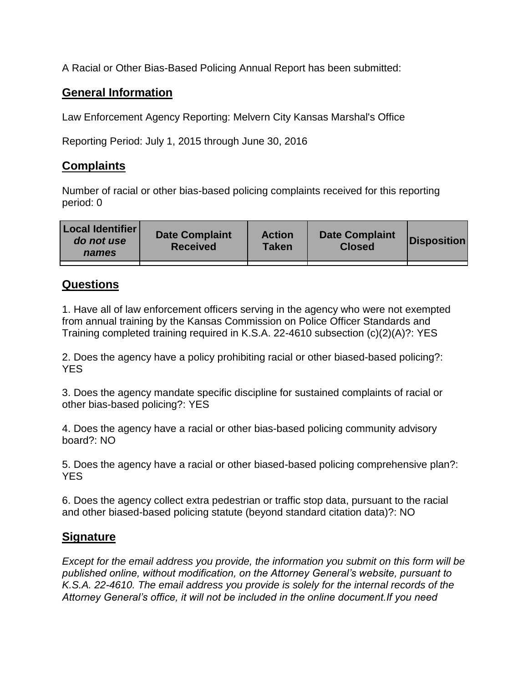A Racial or Other Bias-Based Policing Annual Report has been submitted:

## **General Information**

Law Enforcement Agency Reporting: Melvern City Kansas Marshal's Office

Reporting Period: July 1, 2015 through June 30, 2016

## **Complaints**

Number of racial or other bias-based policing complaints received for this reporting period: 0

| <b>Local Identifier</b><br>do not use<br>names | <b>Date Complaint</b><br><b>Received</b> | <b>Action</b><br><b>Taken</b> | <b>Date Complaint</b><br><b>Closed</b> | Disposition |
|------------------------------------------------|------------------------------------------|-------------------------------|----------------------------------------|-------------|
|                                                |                                          |                               |                                        |             |

## **Questions**

1. Have all of law enforcement officers serving in the agency who were not exempted from annual training by the Kansas Commission on Police Officer Standards and Training completed training required in K.S.A. 22-4610 subsection (c)(2)(A)?: YES

2. Does the agency have a policy prohibiting racial or other biased-based policing?: YES

3. Does the agency mandate specific discipline for sustained complaints of racial or other bias-based policing?: YES

4. Does the agency have a racial or other bias-based policing community advisory board?: NO

5. Does the agency have a racial or other biased-based policing comprehensive plan?: YES

6. Does the agency collect extra pedestrian or traffic stop data, pursuant to the racial and other biased-based policing statute (beyond standard citation data)?: NO

## **Signature**

*Except for the email address you provide, the information you submit on this form will be published online, without modification, on the Attorney General's website, pursuant to K.S.A. 22-4610. The email address you provide is solely for the internal records of the Attorney General's office, it will not be included in the online document.If you need*